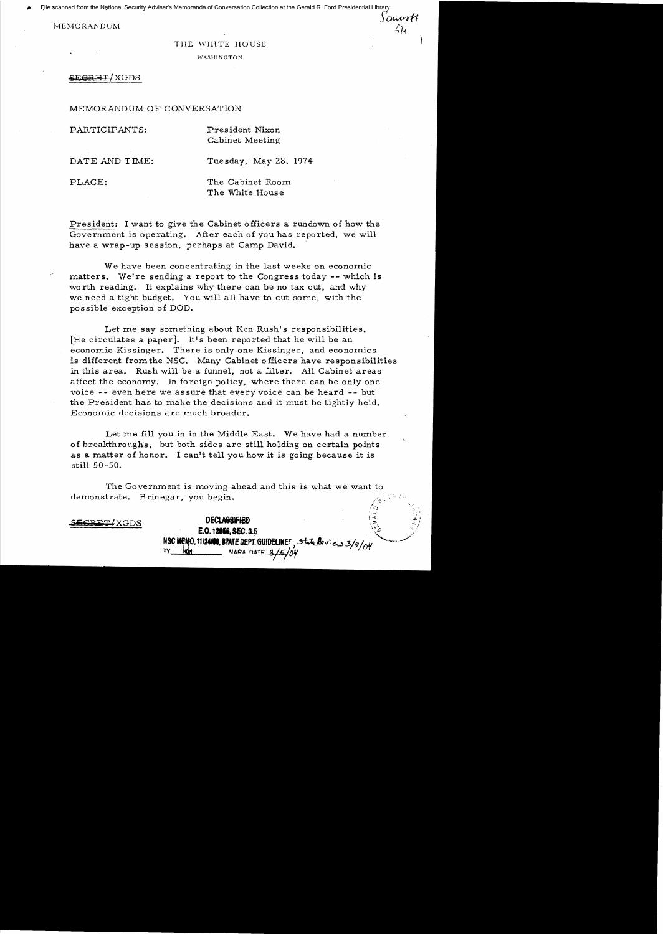File scanned from the National Security Adviser's Memoranda of Conversation Collection at the Gerald R. Ford Presidential Library<br>
Convert

MEMORANDUM

## THE WHITE HOUSE

WASHINGTON

SE<del>CRET/</del>XCDS

MEMORANDUM OF CONVERSATION

PARTICIPANTS: President Nixon

Cabinet Meeting

DATE AND TIME: Tuesday, May 28. 1974

PLACE: The Cabinet Room The White House

President: I want to give the Cabinet officers a rundown of how the Government is operating. After each of you has reported, we will have a wrap-up session, perhaps at Camp David.

We have been concentrating in the last weeks on economic matters. We're sending a report to the Congress today -- which is wo rth reading. It explains why there can be no tax cut, and why we need a tight budget. You will all have to cut some, with the possible exception of DOD.

Let me say something about Ken Rush's responsibilities. [He circulates a paper]. It's been reported that he will be an economic Kissinger. There is only one Kissinger, and economics is different from the NSC. Many Cabinet officers have responsibilities in this area. Rush will be a funnel, not a filter. All Cabinet areas affect the economy. In foreign policy, where there can be only one voice -- even here we assure that every voice can be heard -- but the President has to make the decisions and it must be tightly held. Economic decisions are much broader.

Let me fill you in in the Middle East. We have had a number of breakthroughs, but both sides are still holding on certain points as a matter of honor. I can't tell you how it is going because it is still 50-50.

The Government is moving ahead and this is what we want to demonstrate. Brinegar, you begin.  $\mathscr{E}^{\mathscr{E}}$ 

| SECRET/XGDS | <b>DECLASSIFIED</b><br>E.O. 12056, SEC. 3.5                                         | - Kult |
|-------------|-------------------------------------------------------------------------------------|--------|
|             | NSC MEMO, 11/24/08, STATE DEPT. GUIDELINES, State Review 3/9/04<br>NARS DATE 8/5/04 |        |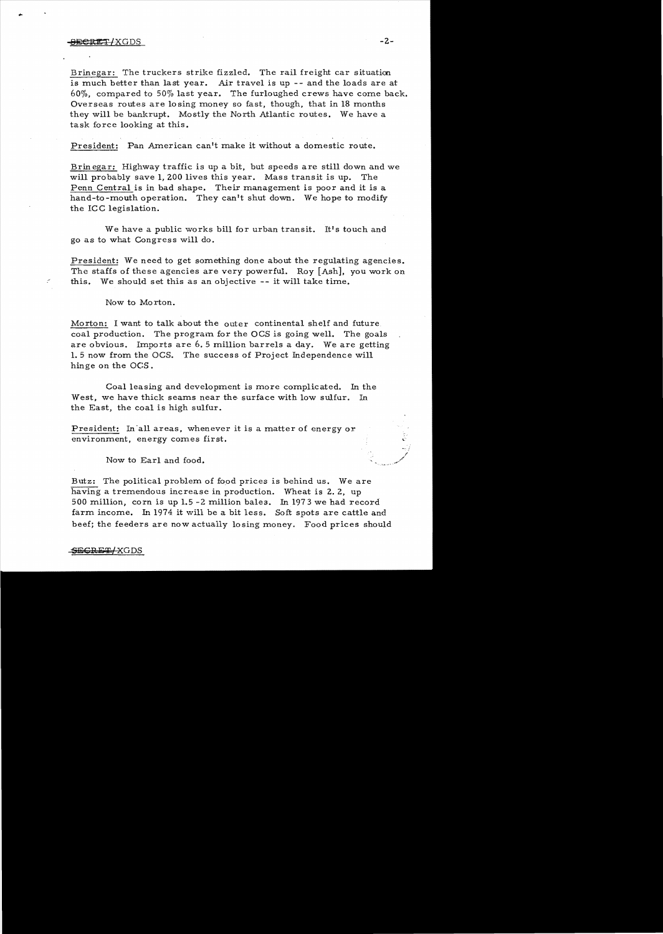# ertists and the second second second second second second second second second second second second second second second second second second second second second second second second second second second second second sec

Brinegar: The truckers strike fizzled. The rail freight car situation is much better than last year. Air travel is up -- and the loads are at  $60\%$ , compared to  $50\%$  last year. The furloughed crews have come back. Overseas routes are 10 sing money so fast, though, that in 18 months they will be bankrupt. Mostly the North Atlantic routes. We have a task force looking at this.

President: Pan American can't make it without a domestic route,

Brin egar: Highway traffic is up a bit, but speeds are still down and we will probably save 1,200 lives this year. Mass transit is up. The Penn Central is in bad shape. Their management is poor and it is a hand-to-mouth operation. They can't shut down. We hope to modify the ICC legislation.

We have a public works bill for urban transit. It's touch and go as to what Congress will do.

President: We need to get something done about the regulating agencies. The staffs of these agencies are very powerful. Roy [Ash], you work on this. We should set this as an objective -- it will take time.

Now to Morton.

Morton: I want to talk about the outer continental shelf and future coal production. The program for the OCS is going well. The goals are obvious. Imports are 6.5 million barrels a day. We are getting 1. 5 now from the OCS. The success of Project Independence will hinge on the OCS.

Coal leasing and development is more complicated. In the West, we have thick seams near the surface with low sulfur. In the East, the coal is high sulfur.

President: In 'all areas, whenever it is a matter of energy or environment, energy comes first.

Now to Earl and food.

Butz: The political problem of food prices is behind us. We are having a tremendous increase in production. Wheat is 2. 2, up 500 million, corn is up 1.5 -2 million bales. In 1973 we had record farm income. In 1974 it will be a bit less. Soft spots are cattle and beef; the feeders are now actually losing money. Food prices should

### SEGRET/XGDS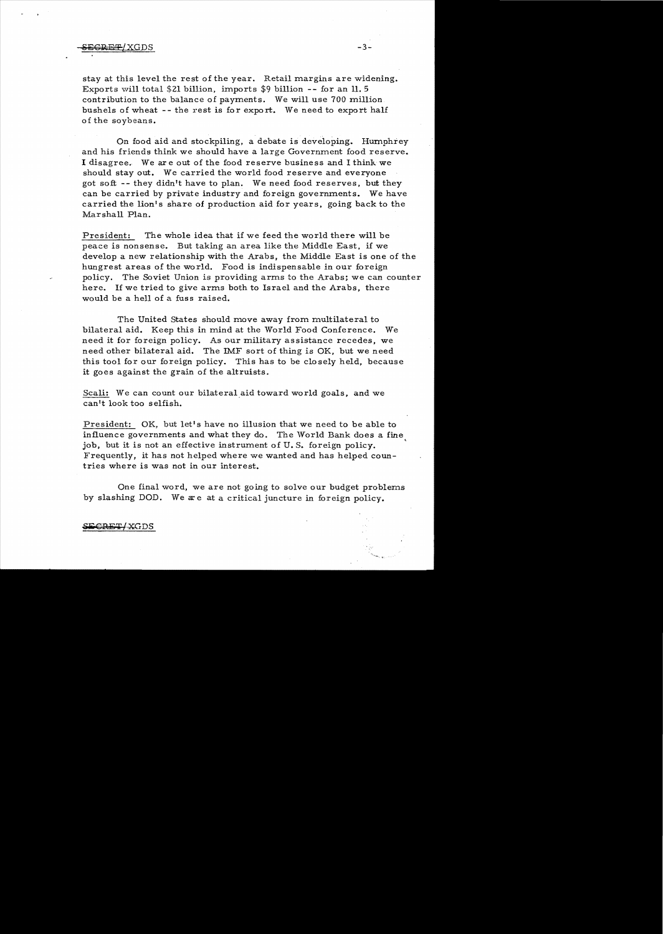# $\overline{EGREF}/XGDS$  ...  $-3-$

stay at this level the rest of the year. Retail margins are widening. Exports will total \$21 billion, imports \$9 billion -- for an 11.5 contribution to the balance of payments. We will use 700 million bushels of wheat -- the rest is for export. We need to export half of the soybeans.

On food aid and stockpiling, a debate is developing. Humphrey and his friends think we should have a large Government food reserve. I disagree. We are out of the food reserve business and I think we should stay out. We carried the world food reserve and everyone got soft -- they didn't have to plan. We need food reserves, but they can be carried by private industry and foreign governments. 'We have carried the lion's share of production aid for years. going back to the Marshall Plan.

President: The whole idea that if we feed the world there will be peace is nonsense. But taking an area like the Middle East. if we develop a new relationship with the Arabs, the Middle East is one of the hungrest areas of the world. Food is indispensable in our foreign policy. The Soviet Union is providing arms to the Arabs; we can counter here. If we tried to give arms both to Israel and the Arabs, there would be a hell of a fuss raised.

The United States should move away from multilateral to bilateral aid. Keep this in mind at the World Food Conference. We need it for foreign policy. As our military assistance recedes, we need other bilateral aid. The IMF sort of thing is OK, but we need this tool for our foreign policy. This has to be closely held, because it goes against the grain of the altruists.

Scali: We can count our bilateral aid toward world goals, and we can't look too selfish.

President: OK, but let's have no illusion that we need to be able to influence governments and what they do. The World Bank does a fine job, but it is not an effective instrument of U. S. foreign policy. Frequently, it has not helped where we wanted and has helped countries where is was not in our interest.

One final word, we are not going to solve our budget problems by slashing DOD. We are at a critical juncture in foreign policy.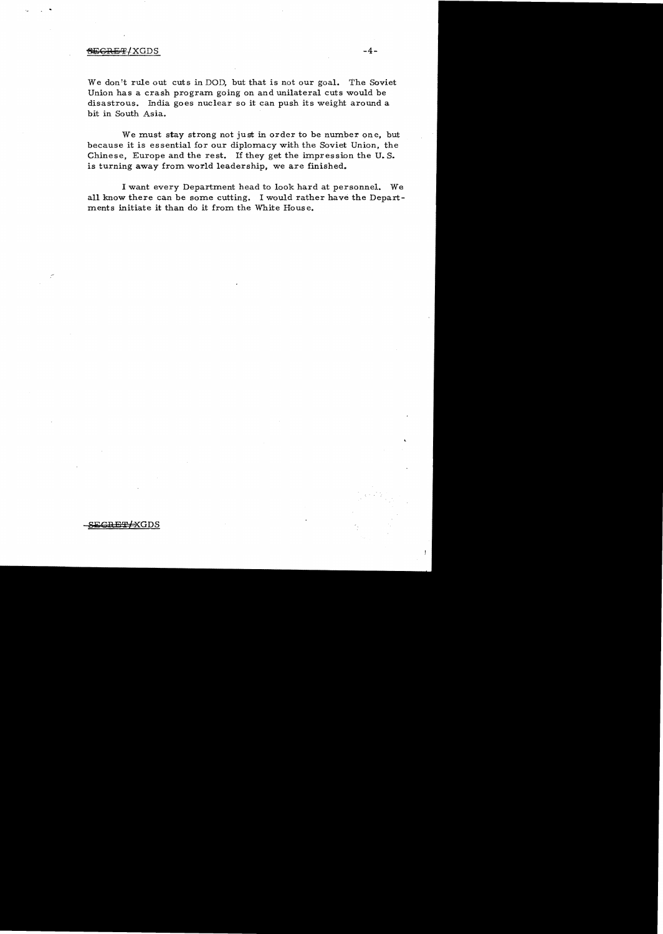# <del>SEGRET</del>/XGDS -4-

We don't rule out cuts in DOD, but that is not our goal. The Soviet Union has a crash program going on and unilateral cuts would be disastrous. India goes nuclear so it can push its weight around a bit in South Asia.

We must stay strong not just in order to be number one, but because it is essential for our diplomacy with the Soviet Union, the Chinese, Europe and the rest. If they get the impression the U. S. is turning away from world leadership, we are finished.

I want every Department head to look hard at personnel. We all know there can be some cutting. I would rather have the Departments initiate it than do it from the White Hous e.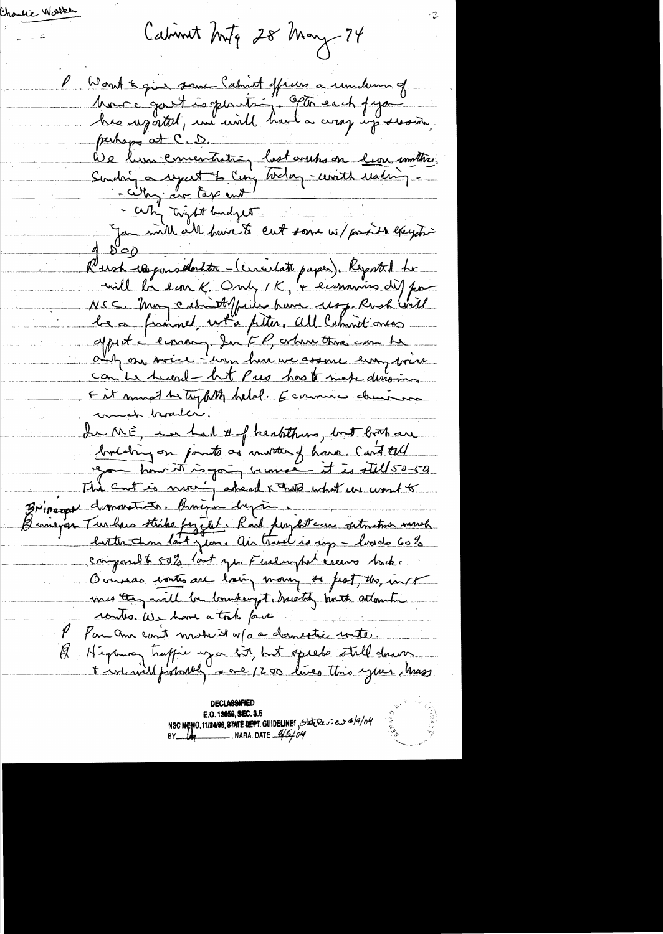Charlie Worker

Cabinet hoty 28 May 74

Worst & give same Calmit officers a remeterment hour gout is quite " Fte each paga" perhaps at C.D. We hum enventation bestauchs on leon unities.<br>Sendain a system to come Today - united realing -- Why try to budget<br>To will all four & cut some ws par it exception will be ear K. Only 1 K, 4 evenino differ NSC. Man cette Affide have usp. Rosk will appet l'envoy du FP, colore touse avec 4 can be heard - but Pur has to make design F it must be toppthy held. Economic chairmen the ME, in had # of heabthing, but both are broduling on points as mother of have. Can't tell egan homit is going bronche it is still 50-50 This control moving ashead & that's what we want to Brinages dummet de Prince dupre Bineyon Turbes sticke fyzikt. Rad function setmetrin much composed to 50% lost you Furlamph crews toute Occurses contes are laing many so fest, the, in/o mes they will be boundary t. Drietof moth attorntic P Par au cont mark et na a doncetic conte. Q. Highway traffic upon bit, but operate still down

decla<del>ssifi</del>ed NSC MEMO, 11/24/98, STATE DEPT. GUIDELINES, State Dev. en 3/9/04<br>BY 4 E.O. 12058, SEC. 3.5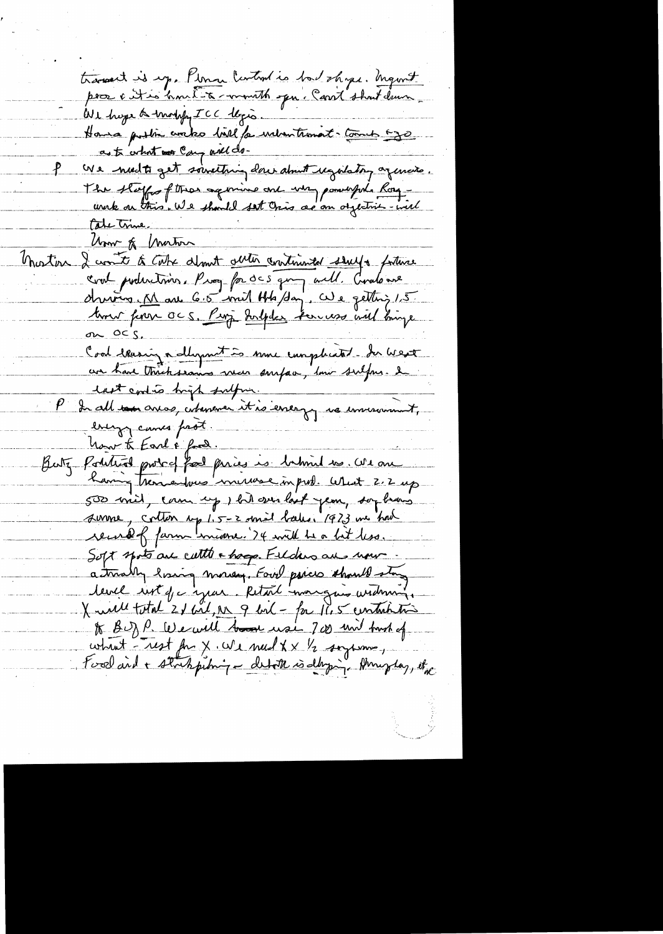transact is up. Perma leated is too ships. Ingent We hope & monthly ICC legio. House public contro bill for internat - Come and as to what we Can will do-We need to get sowething down about regulatory agencies.<br>The stay of these squires one was possessed hose -P. ale trine Univ of Martin Moston I wont to take almost other continued seuls fortune coul puderctions. Proy for dcs going will. Covalouse driving. Marie 6.5 void Hola dans We getting 1.5 tour four ocs. Projet doubles territos will bringe on OCS. Cool trasing a dlymet is more complicated . In west un have thrickseams wear surface, how sulfors. I last codão brigh sulfur. P In all too arras, interner it is erregy no immerciant, every cames post. how to Earl & food. Butz Portition protoc/ fait pries is behind is we are 500 mil, came up , hit wer last year, sombrans surne, cotter up 1.5-2 mil bales 1923 me had recent of farm minute. It will be a let less. Soft spots are cuttle - hage. Felders are now activally hising mousey. Four parces should stay X unle testal 21 cit, M 9 cul - for 17, 5 centations to BUDP. We will took use 700 mil took of what - rest for x. We need X x 1/2 soysme, Food and + strikpiling - detate is daying Amylay, that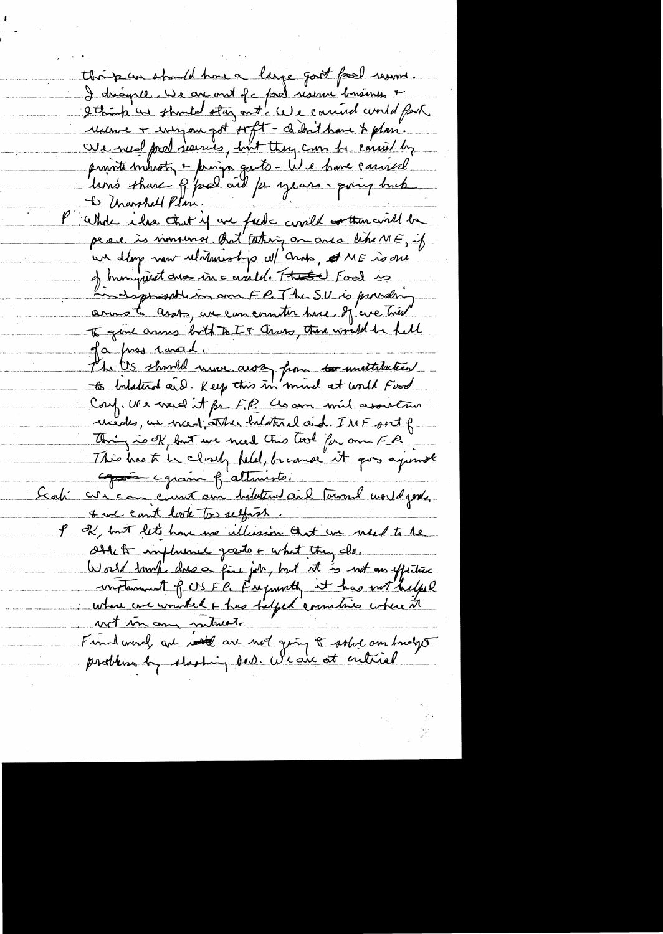though we should have a large good food resurs I droipel. We are ont fc pool reserve business + I think and should other out a cannot could fork reserve + inispone pot soft - chibrit have to plan. printe inhaty + principa garts - We have carried Whole who that if we feed correlat worther will be peace is nonsura ant taking on area like ME, if un dlop mon ulationship ul Crass, AME is one of huniquet dutos in a would. These Food is indisprisable in ome FP. The SU is providen armote arots, un commenter hue. If are his To give arms both To IT There, there would be hell ga pres 1 metal The US should never away from to unstitution Conf. We were it for F.P. Closen mil association under, un med, ather helativel and I'MF port f-Thing is OK, but we need this tool for one EP. This has to be closely held, because it goes agonist <del>après egranne</del> f'altruste. concan comme au hilateur ail tourne worldgods, Sah t we can't look too selforth. of but let have no ullession that we need to be Oblet implumed goods + what they clo. World trunk dres a fine job, but it is not an effective instrument of USEP, Eugeneeth at has not helped where we wonted a has helped countries where it wit in any miturate Find word, are real are not ging 8 solve on budget